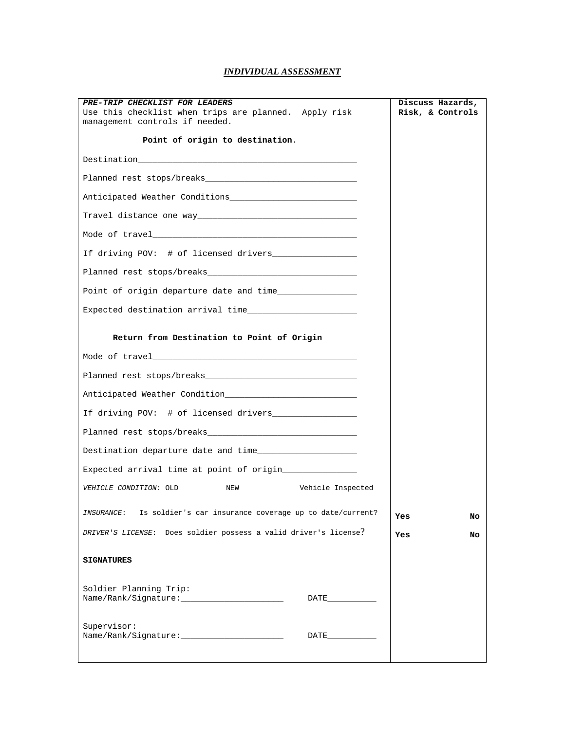## *INDIVIDUAL ASSESSMENT*

| PRE-TRIP CHECKLIST FOR LEADERS                                                                                                                                                                                                 | Discuss Hazards, |
|--------------------------------------------------------------------------------------------------------------------------------------------------------------------------------------------------------------------------------|------------------|
| Use this checklist when trips are planned. Apply risk<br>management controls if needed.                                                                                                                                        | Risk, & Controls |
|                                                                                                                                                                                                                                |                  |
| Point of origin to destination.                                                                                                                                                                                                |                  |
|                                                                                                                                                                                                                                |                  |
| Planned rest stops/breaks and the contract of the contract of the contract of the contract of the contract of the contract of the contract of the contract of the contract of the contract of the contract of the contract of  |                  |
|                                                                                                                                                                                                                                |                  |
| Travel distance one way the control of the control of the control of the control of the control of the control of the control of the control of the control of the control of the control of the control of the control of the |                  |
| Mode of travel the contract of the contract of the contract of the contract of the contract of the contract of                                                                                                                 |                  |
| If driving POV: # of licensed drivers________________                                                                                                                                                                          |                  |
|                                                                                                                                                                                                                                |                  |
|                                                                                                                                                                                                                                |                  |
| Expected destination arrival time                                                                                                                                                                                              |                  |
|                                                                                                                                                                                                                                |                  |
| Return from Destination to Point of Origin                                                                                                                                                                                     |                  |
|                                                                                                                                                                                                                                |                  |
|                                                                                                                                                                                                                                |                  |
| Anticipated Weather Condition Material Constitution Condition                                                                                                                                                                  |                  |
| If driving POV: # of licensed drivers__________________                                                                                                                                                                        |                  |
|                                                                                                                                                                                                                                |                  |
|                                                                                                                                                                                                                                |                  |
| Expected arrival time at point of origin_______________                                                                                                                                                                        |                  |
| Vehicle Inspected<br>VEHICLE CONDITION: OLD<br>NEW                                                                                                                                                                             |                  |
| Is soldier's car insurance coverage up to date/current?<br><i>INSURANCE</i> :                                                                                                                                                  | Yes<br>No        |
| DRIVER'S LICENSE: Does soldier possess a valid driver's license?                                                                                                                                                               | <b>Yes</b><br>No |
| <b>SIGNATURES</b>                                                                                                                                                                                                              |                  |
|                                                                                                                                                                                                                                |                  |
| Soldier Planning Trip:<br>Name/Rank/Signature:<br>DATE PARTIES                                                                                                                                                                 |                  |
|                                                                                                                                                                                                                                |                  |
| Supervisor:<br>Name/Rank/Signature:<br>DATE                                                                                                                                                                                    |                  |
|                                                                                                                                                                                                                                |                  |